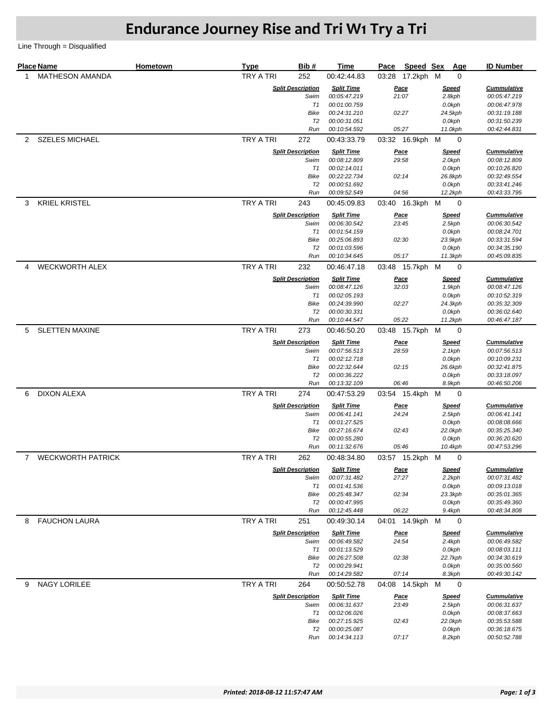## **Endurance Journey Rise and Tri W1 Try a Tri**

Line Through = Disqualified

|             | <b>Place Name</b>        | <b>Hometown</b> | <b>Type</b>      | Bib#                             | Time                              | Pace  | Speed Sex            |                        | Age<br><b>ID Number</b>            |
|-------------|--------------------------|-----------------|------------------|----------------------------------|-----------------------------------|-------|----------------------|------------------------|------------------------------------|
| 1           | <b>MATHESON AMANDA</b>   |                 | <b>TRY A TRI</b> | 252                              | 00:42:44.83                       | 03:28 | 17.2kph M            |                        | 0                                  |
|             |                          |                 |                  | <b>Split Description</b>         | <b>Split Time</b>                 |       | Pace                 | <b>Speed</b>           | <b>Cummulative</b>                 |
|             |                          |                 |                  | Swim                             | 00:05:47.219                      |       | 21:07                | 2.8kph                 | 00:05:47.219                       |
|             |                          |                 |                  | T1<br>Bike                       | 00:01:00.759<br>00:24:31.210      |       | 02:27                | 0.0kph                 | 00:06:47.978<br>00:31:19.188       |
|             |                          |                 |                  | T2                               | 00:00:31.051                      |       |                      | 24.5kph<br>0.0kph      | 00:31:50.239                       |
|             |                          |                 |                  | Run                              | 00:10:54.592                      |       | 05:27                | 11.0kph                | 00:42:44.831                       |
| 2           | <b>SZELES MICHAEL</b>    |                 | TRY A TRI        | 272                              | 00:43:33.79                       |       | 03:32 16.9kph M      |                        | 0                                  |
|             |                          |                 |                  | <b>Split Description</b>         | <b>Split Time</b>                 |       | <u>Pace</u>          | <b>Speed</b>           | <b>Cummulative</b>                 |
|             |                          |                 |                  | Swim                             | 00:08:12.809                      |       | 29:58                | 2.0kph                 | 00:08:12.809                       |
|             |                          |                 |                  | T1                               | 00:02:14.011                      |       |                      | 0.0kph                 | 00:10:26.820                       |
|             |                          |                 |                  | Bike                             | 00:22:22.734                      |       | 02:14                | 26.8kph                | 00:32:49.554                       |
|             |                          |                 |                  | T <sub>2</sub><br>Run            | 00:00:51.692<br>00:09:52.549      |       | 04:56                | 0.0kph<br>12.2kph      | 00:33:41.246<br>00:43:33.795       |
| 3           | <b>KRIEL KRISTEL</b>     |                 | TRY A TRI        | 243                              | 00:45:09.83                       |       | 03:40 16.3kph        | м                      | 0                                  |
|             |                          |                 |                  | <b>Split Description</b>         | <b>Split Time</b>                 |       | <u>Pace</u>          | <b>Speed</b>           | <b>Cummulative</b>                 |
|             |                          |                 |                  | Swim                             | 00:06:30.542                      | 23:45 |                      | 2.5kph                 | 00:06:30.542                       |
|             |                          |                 |                  | T1                               | 00:01:54.159                      |       |                      | 0.0kph                 | 00:08:24.701                       |
|             |                          |                 |                  | <b>Bike</b>                      | 00:25:06.893                      | 02:30 |                      | 23.9kph                | 00:33:31.594                       |
|             |                          |                 |                  | T2                               | 00:01:03.596                      |       |                      | 0.0kph                 | 00:34:35.190                       |
|             |                          |                 |                  | Run                              | 00:10:34.645                      |       | 05:17                | 11.3kph                | 00:45:09.835                       |
| 4           | <b>WECKWORTH ALEX</b>    |                 | TRY A TRI        | 232                              | 00:46:47.18<br><b>Split Time</b>  |       | 03:48 15.7kph        | м                      | $\mathbf 0$                        |
|             |                          |                 |                  | <b>Split Description</b><br>Swim | 00:08:47.126                      |       | <u>Pace</u><br>32:03 | <b>Speed</b><br>1.9kph | <b>Cummulative</b><br>00:08:47.126 |
|             |                          |                 |                  | T1                               | 00:02:05.193                      |       |                      | 0.0kph                 | 00:10:52.319                       |
|             |                          |                 |                  | <b>Bike</b>                      | 00:24:39.990                      |       | 02:27                | 24.3kph                | 00:35:32.309                       |
|             |                          |                 |                  | T2                               | 00:00:30.331                      |       |                      | 0.0kph                 | 00:36:02.640                       |
|             |                          |                 |                  | Run                              | 00:10:44.547                      |       | 05:22                | 11.2kph                | 00:46:47.187                       |
| 5           | <b>SLETTEN MAXINE</b>    |                 | <b>TRY A TRI</b> | 273                              | 00:46:50.20                       |       | 03:48 15.7kph        | M                      | 0                                  |
|             |                          |                 |                  | <b>Split Description</b>         | <b>Split Time</b>                 |       | <u>Pace</u>          | <b>Speed</b>           | <b>Cummulative</b>                 |
|             |                          |                 |                  | Swim<br>T1                       | 00:07:56.513<br>00:02:12.718      | 28:59 |                      | $2.1$ kph<br>0.0kph    | 00:07:56.513<br>00:10:09.231       |
|             |                          |                 |                  | <b>Bike</b>                      | 00:22:32.644                      |       | 02:15                | 26.6kph                | 00:32:41.875                       |
|             |                          |                 |                  | T <sub>2</sub>                   | 00:00:36.222                      |       |                      | 0.0kph                 | 00:33:18.097                       |
|             |                          |                 |                  | Run                              | 00:13:32.109                      |       | 06:46                | 8.9kph                 | 00:46:50.206                       |
| 6           | <b>DIXON ALEXA</b>       |                 | <b>TRY A TRI</b> | 274                              | 00:47:53.29                       |       | 03:54 15.4kph M      |                        | 0                                  |
|             |                          |                 |                  | <b>Split Description</b>         | <b>Split Time</b>                 |       | <u>Pace</u>          | <b>Speed</b>           | <b>Cummulative</b>                 |
|             |                          |                 |                  | Swim                             | 00:06:41.141                      |       | 24:24                | 2.5kph                 | 00:06:41.141                       |
|             |                          |                 |                  | T1                               | 00:01:27.525                      |       |                      | 0.0kph                 | 00:08:08.666                       |
|             |                          |                 |                  | Bike<br>T <sub>2</sub>           | 00:27:16.674<br>00:00:55.280      |       | 02:43                | 22.0kph<br>0.0kph      | 00:35:25.340<br>00:36:20.620       |
|             |                          |                 |                  | Run                              | 00:11:32.676                      |       | 05:46                | 10.4kph                | 00:47:53.296                       |
| $7^{\circ}$ | <b>WECKWORTH PATRICK</b> |                 | TRY A TRI        | 262                              | 00:48:34.80                       |       | 03:57 15.2kph        | м                      | 0                                  |
|             |                          |                 |                  | <b>Split Description</b>         | <b>Split Time</b>                 |       | <u>Pace</u>          | <u>Speed</u>           | <b>Cummulative</b>                 |
|             |                          |                 |                  | Swim                             | 00:07:31.482                      | 27:27 |                      | 2.2kph                 | 00:07:31.482                       |
|             |                          |                 |                  | T1                               | 00:01:41.536                      |       |                      | 0.0kph                 | 00:09:13.018                       |
|             |                          |                 |                  | Bike                             | 00:25:48.347                      |       | 02:34                | 23.3kph                | 00:35:01.365                       |
|             |                          |                 |                  | T <sub>2</sub><br>Run            | 00:00:47.995<br>00:12:45.448      |       | 06:22                | 0.0kph<br>9.4kph       | 00:35:49.360<br>00:48:34.808       |
| 8           | <b>FAUCHON LAURA</b>     |                 | <b>TRY A TRI</b> | 251                              | 00:49:30.14                       |       | 04:01 14.9kph        | м                      | 0                                  |
|             |                          |                 |                  | <b>Split Description</b>         | <b>Split Time</b>                 |       | <b>Pace</b>          | <b>Speed</b>           | <b>Cummulative</b>                 |
|             |                          |                 |                  | Swim                             | 00:06:49.582                      |       | 24:54                | 2.4kph                 | 00:06:49.582                       |
|             |                          |                 |                  | T1                               | 00:01:13.529                      |       |                      | 0.0kph                 | 00:08:03.111                       |
|             |                          |                 |                  | Bike                             | 00:26:27.508                      |       | 02:38                | 22.7kph                | 00:34:30.619                       |
|             |                          |                 |                  | T <sub>2</sub>                   | 00:00:29.941                      |       |                      | 0.0kph                 | 00:35:00.560                       |
|             |                          |                 |                  | Run                              | 00:14:29.582                      |       | 07:14                | 8.3kph                 | 00:49:30.142                       |
| 9           | <b>NAGY LORILEE</b>      |                 | <b>TRY A TRI</b> | 264                              | 00:50:52.78                       |       | 04:08 14.5kph M      |                        | 0                                  |
|             |                          |                 |                  | <b>Split Description</b><br>Swim | <b>Split Time</b><br>00:06:31.637 |       | <b>Pace</b><br>23:49 | <b>Speed</b><br>2.5kph | <b>Cummulative</b><br>00:06:31.637 |
|             |                          |                 |                  | T1                               | 00:02:06.026                      |       |                      | 0.0kph                 | 00:08:37.663                       |
|             |                          |                 |                  | Bike                             | 00:27:15.925                      |       | 02:43                | 22.0kph                | 00:35:53.588                       |
|             |                          |                 |                  | T <sub>2</sub>                   | 00:00:25.087                      |       |                      | 0.0kph                 | 00:36:18.675                       |
|             |                          |                 |                  | Run                              | 00:14:34.113                      |       | 07:17                | 8.2kph                 | 00:50:52.788                       |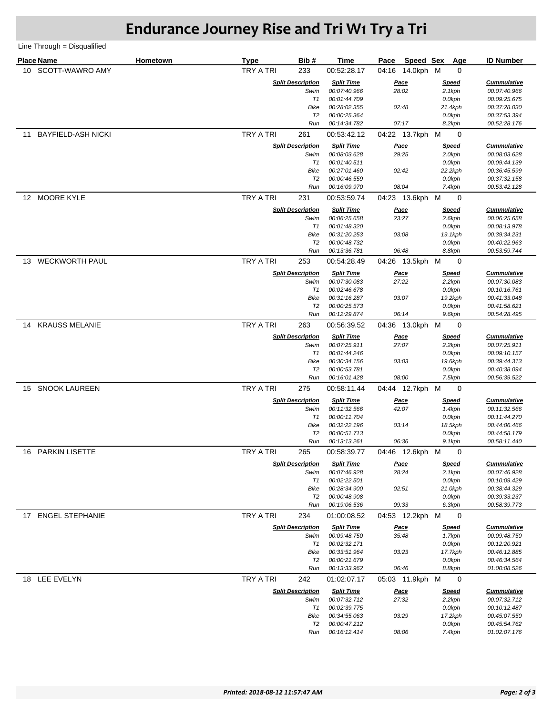## **Endurance Journey Rise and Tri W1 Try a Tri**

Line Through = Disqualified

|                 | <b>Place Name</b>         | Hometown | <b>Type</b>      | Bib#                             | Time                              | Pace                 | Speed Sex | Age                    | <b>ID Number</b>                   |
|-----------------|---------------------------|----------|------------------|----------------------------------|-----------------------------------|----------------------|-----------|------------------------|------------------------------------|
| 10 <sup>1</sup> | SCOTT-WAWRO AMY           |          | <b>TRY A TRI</b> | 233                              | 00:52:28.17                       | 04:16 14.0kph M      |           | 0                      |                                    |
|                 |                           |          |                  |                                  |                                   |                      |           |                        |                                    |
|                 |                           |          |                  | <b>Split Description</b><br>Swim | <b>Split Time</b><br>00:07:40.966 | <u>Pace</u><br>28:02 |           | <u>Speed</u><br>2.1kph | <b>Cummulative</b><br>00:07:40.966 |
|                 |                           |          |                  | T1                               | 00:01:44.709                      |                      |           | 0.0kph                 | 00:09:25.675                       |
|                 |                           |          |                  | Bike                             | 00:28:02.355                      | 02:48                |           | 21.4kph                | 00:37:28.030                       |
|                 |                           |          |                  | T2                               | 00:00:25.364                      |                      |           | 0.0kph                 | 00:37:53.394                       |
|                 |                           |          |                  | Run                              | 00:14:34.782                      | 07:17                |           | 8.2kph                 | 00:52:28.176                       |
| 11              | <b>BAYFIELD-ASH NICKI</b> |          | TRY A TRI        | 261                              | 00:53:42.12                       | 04:22 13.7kph M      |           | 0                      |                                    |
|                 |                           |          |                  | <b>Split Description</b>         | <b>Split Time</b>                 | <u>Pace</u>          |           | <u>Speed</u>           | <b>Cummulative</b>                 |
|                 |                           |          |                  | Swim                             | 00:08:03.628                      | 29:25                |           | 2.0kph                 | 00:08:03.628                       |
|                 |                           |          |                  | T1<br>Bike                       | 00:01:40.511<br>00:27:01.460      | 02:42                |           | 0.0kph<br>22.2kph      | 00:09:44.139<br>00:36:45.599       |
|                 |                           |          |                  | T2                               | 00:00:46.559                      |                      |           | 0.0kph                 | 00:37:32.158                       |
|                 |                           |          |                  | Run                              | 00:16:09.970                      | 08:04                |           | 7.4kph                 | 00:53:42.128                       |
|                 | 12 MOORE KYLE             |          | TRY A TRI        | 231                              | 00:53:59.74                       | 04:23 13.6kph M      |           | 0                      |                                    |
|                 |                           |          |                  | <b>Split Description</b>         | <b>Split Time</b>                 | <u>Pace</u>          |           | <u>Speed</u>           | <b>Cummulative</b>                 |
|                 |                           |          |                  | Swim                             | 00:06:25.658                      | 23:27                |           | 2.6kph                 | 00:06:25.658                       |
|                 |                           |          |                  | T1                               | 00:01:48.320                      |                      |           | 0.0kph                 | 00:08:13.978                       |
|                 |                           |          |                  | Bike                             | 00:31:20.253                      | 03:08                |           | 19.1kph                | 00:39:34.231                       |
|                 |                           |          |                  | T2<br>Run                        | 00:00:48.732<br>00:13:36.781      | 06:48                |           | 0.0kph<br>8.8kph       | 00:40:22.963<br>00:53:59.744       |
|                 | 13 WECKWORTH PAUL         |          | TRY A TRI        | 253                              | 00:54:28.49                       | 04:26 13.5kph M      |           | 0                      |                                    |
|                 |                           |          |                  | <b>Split Description</b>         | <b>Split Time</b>                 |                      |           | <u>Speed</u>           | <b>Cummulative</b>                 |
|                 |                           |          |                  | Swim                             | 00:07:30.083                      | <u>Pace</u><br>27:22 |           | 2.2kph                 | 00:07:30.083                       |
|                 |                           |          |                  | T1                               | 00:02:46.678                      |                      |           | 0.0kph                 | 00:10:16.761                       |
|                 |                           |          |                  | Bike                             | 00:31:16.287                      | 03:07                |           | 19.2kph                | 00:41:33.048                       |
|                 |                           |          |                  | T2                               | 00:00:25.573                      |                      |           | 0.0kph                 | 00:41:58.621                       |
|                 |                           |          |                  | Run                              | 00:12:29.874                      | 06:14                |           | 9.6kph                 | 00:54:28.495                       |
| 14              | <b>KRAUSS MELANIE</b>     |          | TRY A TRI        | 263                              | 00:56:39.52                       | 04:36 13.0kph M      |           | 0                      |                                    |
|                 |                           |          |                  | <b>Split Description</b>         | <b>Split Time</b>                 | <u>Pace</u>          |           | <u>Speed</u>           | <b>Cummulative</b>                 |
|                 |                           |          |                  | Swim<br>T1                       | 00:07:25.911<br>00:01:44.246      | 27:07                |           | 2.2kph<br>0.0kph       | 00:07:25.911<br>00:09:10.157       |
|                 |                           |          |                  | Bike                             | 00:30:34.156                      | 03:03                |           | 19.6kph                | 00:39:44.313                       |
|                 |                           |          |                  | T2                               | 00:00:53.781                      |                      |           | 0.0kph                 | 00:40:38.094                       |
|                 |                           |          |                  | Run                              | 00:16:01.428                      | 08:00                |           | 7.5kph                 | 00:56:39.522                       |
| 15              | <b>SNOOK LAUREEN</b>      |          | TRY A TRI        | 275                              | 00:58:11.44                       | 04:44 12.7kph M      |           | 0                      |                                    |
|                 |                           |          |                  | <b>Split Description</b>         | <b>Split Time</b>                 | <u>Pace</u>          |           | <u>Speed</u>           | <b>Cummulative</b>                 |
|                 |                           |          |                  | Swim                             | 00:11:32.566                      | 42:07                |           | 1.4kph                 | 00:11:32.566                       |
|                 |                           |          |                  | T1                               | 00:00:11.704                      |                      |           | 0.0kph                 | 00:11:44.270                       |
|                 |                           |          |                  | Bike<br>T2                       | 00:32:22.196<br>00:00:51.713      | 03:14                |           | 18.5kph<br>0.0kph      | 00:44:06.466<br>00:44:58.179       |
|                 |                           |          |                  | Run                              | 00:13:13.261                      | 06:36                |           | 9.1kph                 | 00:58:11.440                       |
| 16              | <b>PARKIN LISETTE</b>     |          | TRY A TRI        | 265                              | 00:58:39.77                       | 04:46 12.6kph M      |           | 0                      |                                    |
|                 |                           |          |                  | <b>Split Description</b>         | <b>Split Time</b>                 | <u>Pace</u>          |           | <u>Speed</u>           | <b>Cummulative</b>                 |
|                 |                           |          |                  | Swim                             | 00:07:46.928                      | 28:24                |           | 2.1kph                 | 00:07:46.928                       |
|                 |                           |          |                  | T1                               | 00:02:22.501                      |                      |           | 0.0kph                 | 00:10:09.429                       |
|                 |                           |          |                  | Bike                             | 00:28:34.900                      | 02:51                |           | 21.0kph                | 00:38:44.329                       |
|                 |                           |          |                  | T2<br>Run                        | 00:00:48.908                      | 09:33                |           | 0.0kph                 | 00:39:33.237                       |
| 17              | <b>ENGEL STEPHANIE</b>    |          | TRY A TRI        | 234                              | 00:19:06.536<br>01:00:08.52       | 04:53 12.2kph M      |           | 6.3kph<br>0            | 00:58:39.773                       |
|                 |                           |          |                  | <b>Split Description</b>         | <b>Split Time</b>                 |                      |           |                        | <b>Cummulative</b>                 |
|                 |                           |          |                  | Swim                             | 00:09:48.750                      | <u>Pace</u><br>35:48 |           | <u>Speed</u><br>1.7kph | 00:09:48.750                       |
|                 |                           |          |                  | T1                               | 00:02:32.171                      |                      |           | 0.0kph                 | 00:12:20.921                       |
|                 |                           |          |                  | Bike                             | 00:33:51.964                      | 03:23                |           | 17.7kph                | 00:46:12.885                       |
|                 |                           |          |                  | T2                               | 00:00:21.679                      |                      |           | 0.0kph                 | 00:46:34.564                       |
|                 |                           |          | <b>TRY A TRI</b> | Run                              | 00:13:33.962                      | 06:46                |           | 8.8kph                 | 01:00:08.526                       |
| 18              | LEE EVELYN                |          |                  | 242                              | 01:02:07.17                       | 05:03 11.9kph M      |           | 0                      |                                    |
|                 |                           |          |                  | <b>Split Description</b>         | <b>Split Time</b>                 | <u>Pace</u><br>27:32 |           | <u>Speed</u>           | <b>Cummulative</b>                 |
|                 |                           |          |                  | Swim<br>T1                       | 00:07:32.712<br>00:02:39.775      |                      |           | 2.2kph<br>0.0kph       | 00:07:32.712<br>00:10:12.487       |
|                 |                           |          |                  | Bike                             | 00:34:55.063                      | 03:29                |           | 17.2kph                | 00:45:07.550                       |
|                 |                           |          |                  | T2                               | 00:00:47.212                      |                      |           | 0.0kph                 | 00:45:54.762                       |
|                 |                           |          |                  | Run                              | 00:16:12.414                      | 08:06                |           | 7.4kph                 | 01:02:07.176                       |